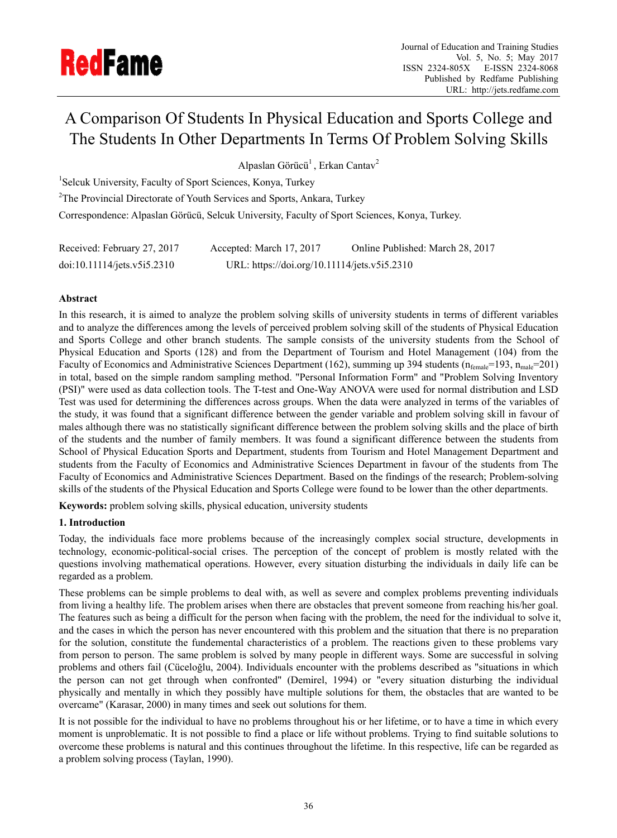

# A Comparison Of Students In Physical Education and Sports College and The Students In Other Departments In Terms Of Problem Solving Skills

Alpaslan Görücü<sup>1</sup>, Erkan Cantav<sup>2</sup>

<sup>1</sup>Selcuk University, Faculty of Sport Sciences, Konya, Turkey

<sup>2</sup>The Provincial Directorate of Youth Services and Sports, Ankara, Turkey

Correspondence: Alpaslan Görücü, Selcuk University, Faculty of Sport Sciences, Konya, Turkey.

| Received: February 27, 2017 | Accepted: March 17, 2017                     | Online Published: March 28, 2017 |
|-----------------------------|----------------------------------------------|----------------------------------|
| doi:10.11114/jets.v5i5.2310 | URL: https://doi.org/10.11114/jets.v5i5.2310 |                                  |

# **Abstract**

In this research, it is aimed to analyze the problem solving skills of university students in terms of different variables and to analyze the differences among the levels of perceived problem solving skill of the students of Physical Education and Sports College and other branch students. The sample consists of the university students from the School of Physical Education and Sports (128) and from the Department of Tourism and Hotel Management (104) from the Faculty of Economics and Administrative Sciences Department (162), summing up 394 students ( $n_{\text{female}}$ =193,  $n_{\text{male}}$ =201) in total, based on the simple random sampling method. "Personal Information Form" and "Problem Solving Inventory (PSI)" were used as data collection tools. The T-test and One-Way ANOVA were used for normal distribution and LSD Test was used for determining the differences across groups. When the data were analyzed in terms of the variables of the study, it was found that a significant difference between the gender variable and problem solving skill in favour of males although there was no statistically significant difference between the problem solving skills and the place of birth of the students and the number of family members. It was found a significant difference between the students from School of Physical Education Sports and Department, students from Tourism and Hotel Management Department and students from the Faculty of Economics and Administrative Sciences Department in favour of the students from The Faculty of Economics and Administrative Sciences Department. Based on the findings of the research; Problem-solving skills of the students of the Physical Education and Sports College were found to be lower than the other departments.

**Keywords:** problem solving skills, physical education, university students

# **1. Introduction**

Today, the individuals face more problems because of the increasingly complex social structure, developments in technology, economic-political-social crises. The perception of the concept of problem is mostly related with the questions involving mathematical operations. However, every situation disturbing the individuals in daily life can be regarded as a problem.

These problems can be simple problems to deal with, as well as severe and complex problems preventing individuals from living a healthy life. The problem arises when there are obstacles that prevent someone from reaching his/her goal. The features such as being a difficult for the person when facing with the problem, the need for the individual to solve it, and the cases in which the person has never encountered with this problem and the situation that there is no preparation for the solution, constitute the fundemental characteristics of a problem. The reactions given to these problems vary from person to person. The same problem is solved by many people in different ways. Some are successful in solving problems and others fail (Cüceloğlu, 2004). Individuals encounter with the problems described as "situations in which the person can not get through when confronted" (Demirel, 1994) or "every situation disturbing the individual physically and mentally in which they possibly have multiple solutions for them, the obstacles that are wanted to be overcame" (Karasar, 2000) in many times and seek out solutions for them.

It is not possible for the individual to have no problems throughout his or her lifetime, or to have a time in which every moment is unproblematic. It is not possible to find a place or life without problems. Trying to find suitable solutions to overcome these problems is natural and this continues throughout the lifetime. In this respective, life can be regarded as a problem solving process (Taylan, 1990).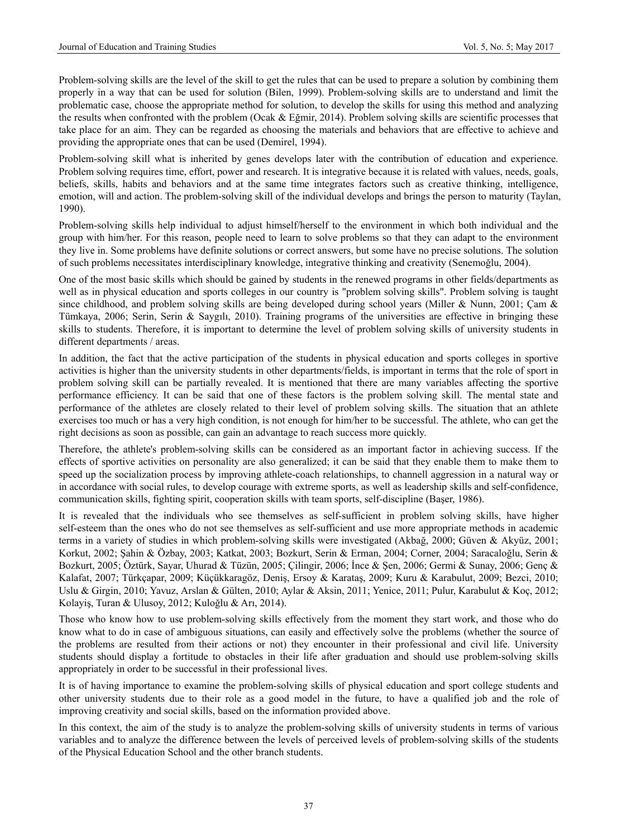Problem-solving skills are the level of the skill to get the rules that can be used to prepare a solution by combining them properly in a way that can be used for solution (Bilen, 1999). Problem-solving skills are to understand and limit the problematic case, choose the appropriate method for solution, to develop the skills for using this method and analyzing the results when confronted with the problem (Ocak & Eğmir, 2014). Problem solving skills are scientific processes that take place for an aim. They can be regarded as choosing the materials and behaviors that are effective to achieve and providing the appropriate ones that can be used (Demirel, 1994).

Problem-solving skill what is inherited by genes develops later with the contribution of education and experience. Problem solving requires time, effort, power and research. It is integrative because it is related with values, needs, goals, beliefs, skills, habits and behaviors and at the same time integrates factors such as creative thinking, intelligence, emotion, will and action. The problem-solving skill of the individual develops and brings the person to maturity (Taylan, 1990).

Problem-solving skills help individual to adjust himself/herself to the environment in which both individual and the group with him/her. For this reason, people need to learn to solve problems so that they can adapt to the environment they live in. Some problems have definite solutions or correct answers, but some have no precise solutions. The solution of such problems necessitates interdisciplinary knowledge, integrative thinking and creativity (Senemoğlu, 2004).

One of the most basic skills which should be gained by students in the renewed programs in other fields/departments as well as in physical education and sports colleges in our country is "problem solving skills". Problem solving is taught since childhood, and problem solving skills are being developed during school years (Miller & Nunn, 2001; Çam & Tümkaya, 2006; Serin, Serin & Saygılı, 2010). Training programs of the universities are effective in bringing these skills to students. Therefore, it is important to determine the level of problem solving skills of university students in different departments / areas.

In addition, the fact that the active participation of the students in physical education and sports colleges in sportive activities is higher than the university students in other departments/fields, is important in terms that the role of sport in problem solving skill can be partially revealed. It is mentioned that there are many variables affecting the sportive performance efficiency. It can be said that one of these factors is the problem solving skill. The mental state and performance of the athletes are closely related to their level of problem solving skills. The situation that an athlete exercises too much or has a very high condition, is not enough for him/her to be successful. The athlete, who can get the right decisions as soon as possible, can gain an advantage to reach success more quickly.

Therefore, the athlete's problem-solving skills can be considered as an important factor in achieving success. If the effects of sportive activities on personality are also generalized; it can be said that they enable them to make them to speed up the socialization process by improving athlete-coach relationships, to channell aggression in a natural way or in accordance with social rules, to develop courage with extreme sports, as well as leadership skills and self-confidence, communication skills, fighting spirit, cooperation skills with team sports, self-discipline (Başer, 1986).

It is revealed that the individuals who see themselves as self-sufficient in problem solving skills, have higher self-esteem than the ones who do not see themselves as self-sufficient and use more appropriate methods in academic terms in a variety of studies in which problem-solving skills were investigated (Akbağ, 2000; Güven & Akyüz, 2001; Korkut, 2002; Şahin & Özbay, 2003; Katkat, 2003; Bozkurt, Serin & Erman, 2004; Corner, 2004; Saracaloğlu, Serin & Bozkurt, 2005; Öztürk, Sayar, Uhurad & Tüzün, 2005; Çilingir, 2006; İnce & Şen, 2006; Germi & Sunay, 2006; Genç & Kalafat, 2007; Türkçapar, 2009; Küçükkaragöz, Deniş, Ersoy & Karataş, 2009; Kuru & Karabulut, 2009; Bezci, 2010; Uslu & Girgin, 2010; Yavuz, Arslan & Gülten, 2010; Aylar & Aksin, 2011; Yenice, 2011; Pulur, Karabulut & Koç, 2012; Kolayiş, Turan & Ulusoy, 2012; Kuloğlu & Arı, 2014).

Those who know how to use problem-solving skills effectively from the moment they start work, and those who do know what to do in case of ambiguous situations, can easily and effectively solve the problems (whether the source of the problems are resulted from their actions or not) they encounter in their professional and civil life. University students should display a fortitude to obstacles in their life after graduation and should use problem-solving skills appropriately in order to be successful in their professional lives.

It is of having importance to examine the problem-solving skills of physical education and sport college students and other university students due to their role as a good model in the future, to have a qualified job and the role of improving creativity and social skills, based on the information provided above.

In this context, the aim of the study is to analyze the problem-solving skills of university students in terms of various variables and to analyze the difference between the levels of perceived levels of problem-solving skills of the students of the Physical Education School and the other branch students.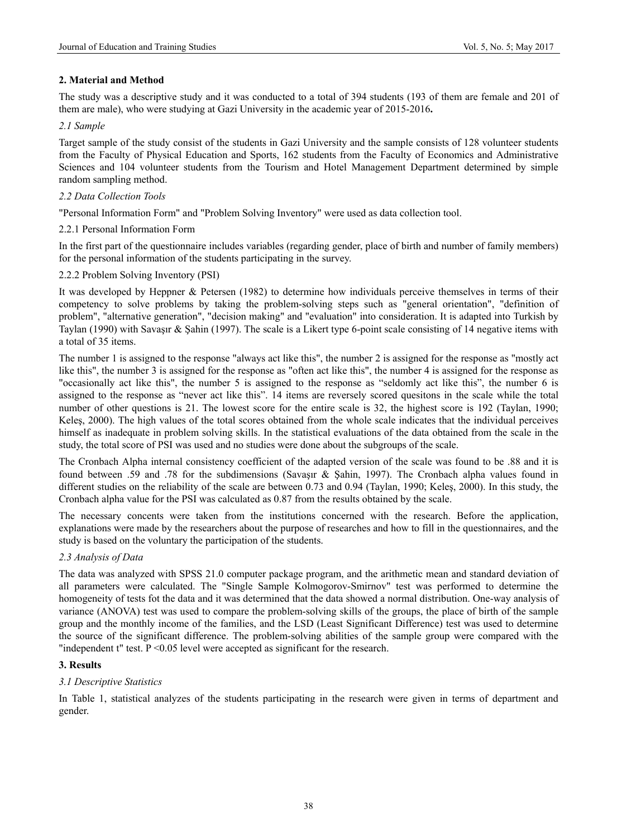# **2. Material and Method**

The study was a descriptive study and it was conducted to a total of 394 students (193 of them are female and 201 of them are male), who were studying at Gazi University in the academic year of 2015-2016**.** 

#### *2.1 Sample*

Target sample of the study consist of the students in Gazi University and the sample consists of 128 volunteer students from the Faculty of Physical Education and Sports, 162 students from the Faculty of Economics and Administrative Sciences and 104 volunteer students from the Tourism and Hotel Management Department determined by simple random sampling method.

### *2.2 Data Collection Tools*

"Personal Information Form" and "Problem Solving Inventory" were used as data collection tool.

### 2.2.1 Personal Information Form

In the first part of the questionnaire includes variables (regarding gender, place of birth and number of family members) for the personal information of the students participating in the survey.

### 2.2.2 Problem Solving Inventory (PSI)

It was developed by Heppner & Petersen (1982) to determine how individuals perceive themselves in terms of their competency to solve problems by taking the problem-solving steps such as "general orientation", "definition of problem", "alternative generation", "decision making" and "evaluation" into consideration. It is adapted into Turkish by Taylan (1990) with Savaşır & Şahin (1997). The scale is a Likert type 6-point scale consisting of 14 negative items with a total of 35 items.

The number 1 is assigned to the response "always act like this", the number 2 is assigned for the response as "mostly act like this", the number 3 is assigned for the response as "often act like this", the number 4 is assigned for the response as "occasionally act like this", the number 5 is assigned to the response as "seldomly act like this", the number 6 is assigned to the response as "never act like this". 14 items are reversely scored quesitons in the scale while the total number of other questions is 21. The lowest score for the entire scale is 32, the highest score is 192 (Taylan, 1990; Keleş, 2000). The high values of the total scores obtained from the whole scale indicates that the individual perceives himself as inadequate in problem solving skills. In the statistical evaluations of the data obtained from the scale in the study, the total score of PSI was used and no studies were done about the subgroups of the scale.

The Cronbach Alpha internal consistency coefficient of the adapted version of the scale was found to be .88 and it is found between .59 and .78 for the subdimensions (Savaşır & Şahin, 1997). The Cronbach alpha values found in different studies on the reliability of the scale are between 0.73 and 0.94 (Taylan, 1990; Keleş, 2000). In this study, the Cronbach alpha value for the PSI was calculated as 0.87 from the results obtained by the scale.

The necessary concents were taken from the institutions concerned with the research. Before the application, explanations were made by the researchers about the purpose of researches and how to fill in the questionnaires, and the study is based on the voluntary the participation of the students.

#### *2.3 Analysis of Data*

The data was analyzed with SPSS 21.0 computer package program, and the arithmetic mean and standard deviation of all parameters were calculated. The "Single Sample Kolmogorov-Smirnov" test was performed to determine the homogeneity of tests fot the data and it was determined that the data showed a normal distribution. One-way analysis of variance (ANOVA) test was used to compare the problem-solving skills of the groups, the place of birth of the sample group and the monthly income of the families, and the LSD (Least Significant Difference) test was used to determine the source of the significant difference. The problem-solving abilities of the sample group were compared with the "independent t" test. P <0.05 level were accepted as significant for the research.

# **3. Results**

#### *3.1 Descriptive Statistics*

In Table 1, statistical analyzes of the students participating in the research were given in terms of department and gender.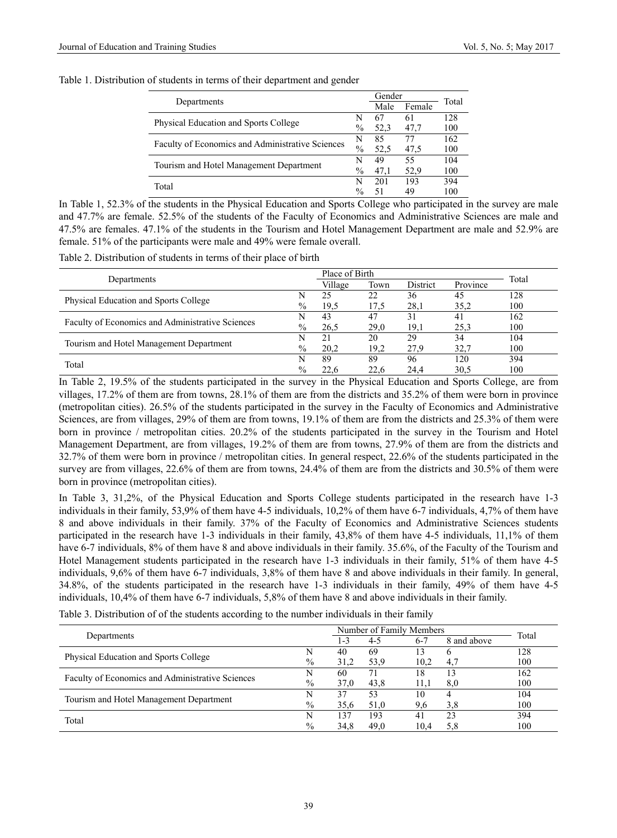| Table 1. Distribution of students in terms of their department and gender |  |  |
|---------------------------------------------------------------------------|--|--|
|---------------------------------------------------------------------------|--|--|

|                                                  |               | Gender |        | Total |  |
|--------------------------------------------------|---------------|--------|--------|-------|--|
| Departments                                      |               | Male   | Female |       |  |
| Physical Education and Sports College            |               | 67     | 61     | 128   |  |
|                                                  |               | 52.3   | 47,7   | 100   |  |
| Faculty of Economics and Administrative Sciences |               | 85     | 77     | 162   |  |
|                                                  |               | 52.5   | 47,5   | 100   |  |
|                                                  | N             | 49     | 55     | 104   |  |
| Tourism and Hotel Management Department          |               | 47.1   | 52.9   | 100   |  |
| Total                                            | N             | 201    | 193    | 394   |  |
|                                                  | $\frac{0}{0}$ | 51     | 49     | 100   |  |

In Table 1, 52.3% of the students in the Physical Education and Sports College who participated in the survey are male and 47.7% are female. 52.5% of the students of the Faculty of Economics and Administrative Sciences are male and 47.5% are females. 47.1% of the students in the Tourism and Hotel Management Department are male and 52.9% are female. 51% of the participants were male and 49% were female overall.

Table 2. Distribution of students in terms of their place of birth

| Departments                                      |               | Place of Birth |      |          | Total    |     |
|--------------------------------------------------|---------------|----------------|------|----------|----------|-----|
|                                                  |               | Village        | Town | District | Province |     |
| Physical Education and Sports College            |               | 25             | 22   | 36       | 45       | 128 |
|                                                  |               | 19.5           | 17.5 | 28,1     | 35,2     | 100 |
|                                                  |               | 43             | 47   | 31       | 41       | 162 |
| Faculty of Economics and Administrative Sciences | $\frac{0}{0}$ | 26.5           | 29,0 | 19.1     | 25,3     | 100 |
|                                                  |               | 21             | 20   | 29       | 34       | 104 |
| Tourism and Hotel Management Department          | $\frac{0}{0}$ | 20.2           | 19,2 | 27.9     | 32.7     | 100 |
| Total                                            |               | 89             | 89   | 96       | 120      | 394 |
|                                                  | $\frac{0}{0}$ | 22.6           | 22.6 | 24.4     | 30,5     | 100 |

In Table 2, 19.5% of the students participated in the survey in the Physical Education and Sports College, are from villages, 17.2% of them are from towns, 28.1% of them are from the districts and 35.2% of them were born in province (metropolitan cities). 26.5% of the students participated in the survey in the Faculty of Economics and Administrative Sciences, are from villages, 29% of them are from towns, 19.1% of them are from the districts and 25.3% of them were born in province / metropolitan cities. 20.2% of the students participated in the survey in the Tourism and Hotel Management Department, are from villages, 19.2% of them are from towns, 27.9% of them are from the districts and 32.7% of them were born in province / metropolitan cities. In general respect, 22.6% of the students participated in the survey are from villages, 22.6% of them are from towns, 24.4% of them are from the districts and 30.5% of them were born in province (metropolitan cities).

In Table 3, 31,2%, of the Physical Education and Sports College students participated in the research have 1-3 individuals in their family, 53,9% of them have 4-5 individuals, 10,2% of them have 6-7 individuals, 4,7% of them have 8 and above individuals in their family. 37% of the Faculty of Economics and Administrative Sciences students participated in the research have 1-3 individuals in their family, 43,8% of them have 4-5 individuals, 11,1% of them have 6-7 individuals, 8% of them have 8 and above individuals in their family. 35.6%, of the Faculty of the Tourism and Hotel Management students participated in the research have 1-3 individuals in their family, 51% of them have 4-5 individuals, 9,6% of them have 6-7 individuals, 3,8% of them have 8 and above individuals in their family. In general, 34.8%, of the students participated in the research have 1-3 individuals in their family, 49% of them have 4-5 individuals, 10,4% of them have 6-7 individuals, 5,8% of them have 8 and above individuals in their family.

Table 3. Distribution of of the students according to the number individuals in their family

|                                                  |               | Number of Family Members |         |         |             | Total |  |
|--------------------------------------------------|---------------|--------------------------|---------|---------|-------------|-------|--|
| Departments                                      |               | 1-3                      | $4 - 5$ | $6 - 7$ | 8 and above |       |  |
|                                                  |               | 40                       | 69      | 13      |             | 128   |  |
| Physical Education and Sports College            | $\frac{0}{0}$ | 31,2                     | 53.9    | 10.2    | 4.7         | 100   |  |
|                                                  |               | 60                       |         | 18      |             | 162   |  |
| Faculty of Economics and Administrative Sciences | $\frac{0}{0}$ | 37.0                     | 43.8    | 11.1    | 8.0         | 100   |  |
| Tourism and Hotel Management Department          |               | 37                       | 53      | 10      |             | 104   |  |
|                                                  | $\frac{0}{0}$ | 35.6                     | 51,0    | 9,6     | 3,8         | 100   |  |
| Total                                            |               | 137                      | 193     | 41      | 23          | 394   |  |
|                                                  | $\frac{0}{0}$ | 34.8                     | 49.0    | 10.4    |             | 100   |  |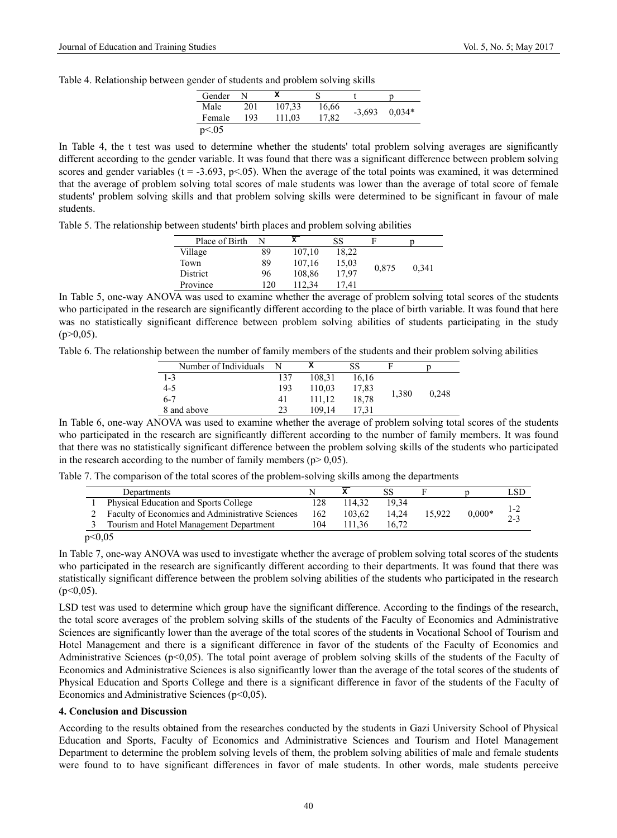Table 4. Relationship between gender of students and problem solving skills

| Gender   | N   |        |       |          |          |
|----------|-----|--------|-------|----------|----------|
| Male     | 201 | 107,33 | 16,66 | $-3,693$ | $0.034*$ |
| Female   | 193 | 111,03 | 17,82 |          |          |
| p < 0.05 |     |        |       |          |          |

In Table 4, the t test was used to determine whether the students' total problem solving averages are significantly different according to the gender variable. It was found that there was a significant difference between problem solving scores and gender variables ( $t = -3.693$ ,  $p < 0.05$ ). When the average of the total points was examined, it was determined that the average of problem solving total scores of male students was lower than the average of total score of female students' problem solving skills and that problem solving skills were determined to be significant in favour of male students.

Table 5. The relationship between students' birth places and problem solving abilities

| Place of Birth |     | х      | SS    |       |       |
|----------------|-----|--------|-------|-------|-------|
| Village        | 89  | 107.10 | 18.22 |       |       |
| Town           | 89  | 107.16 | 15,03 | 0.875 |       |
| District       | 96  | 108,86 | 17.97 |       | 0.341 |
| Province       | 120 | 112.34 | 17.41 |       |       |

In Table 5, one-way ANOVA was used to examine whether the average of problem solving total scores of the students who participated in the research are significantly different according to the place of birth variable. It was found that here was no statistically significant difference between problem solving abilities of students participating in the study  $(p>0.05)$ .

Table 6. The relationship between the number of family members of the students and their problem solving abilities

| Number of Individuals | N   |        | SS    |       |       |
|-----------------------|-----|--------|-------|-------|-------|
| $1 - 3$               | 137 | 108.31 | 16.16 |       |       |
| $4 - 5$               | 193 | 110.03 | 17,83 |       |       |
| $6 - 7$               | 41  | 111.12 | 18.78 | 1,380 | 0.248 |
| 8 and above           | 23  | 109.14 | 17.31 |       |       |

In Table 6, one-way ANOVA was used to examine whether the average of problem solving total scores of the students who participated in the research are significantly different according to the number of family members. It was found that there was no statistically significant difference between the problem solving skills of the students who participated in the research according to the number of family members ( $p$  > 0,05).

Table 7. The comparison of the total scores of the problem-solving skills among the departments

|             | Departments                                             |     |        |       |        |          |                |
|-------------|---------------------------------------------------------|-----|--------|-------|--------|----------|----------------|
|             | <b>Physical Education and Sports College</b>            | 128 | 114.32 | 19 34 |        |          |                |
|             | <b>Faculty of Economics and Administrative Sciences</b> | 162 | 103.62 | 14.24 | 15.922 | $0.000*$ | 1-2<br>$2 - 3$ |
|             | Tourism and Hotel Management Department                 | 104 | 11.36  | 16.72 |        |          |                |
| $\sim$ 0.05 |                                                         |     |        |       |        |          |                |

 $p<0,05$ 

In Table 7, one-way ANOVA was used to investigate whether the average of problem solving total scores of the students who participated in the research are significantly different according to their departments. It was found that there was statistically significant difference between the problem solving abilities of the students who participated in the research  $(p<0.05)$ .

LSD test was used to determine which group have the significant difference. According to the findings of the research, the total score averages of the problem solving skills of the students of the Faculty of Economics and Administrative Sciences are significantly lower than the average of the total scores of the students in Vocational School of Tourism and Hotel Management and there is a significant difference in favor of the students of the Faculty of Economics and Administrative Sciences (p<0,05). The total point average of problem solving skills of the students of the Faculty of Economics and Administrative Sciences is also significantly lower than the average of the total scores of the students of Physical Education and Sports College and there is a significant difference in favor of the students of the Faculty of Economics and Administrative Sciences (p<0,05).

#### **4. Conclusion and Discussion**

According to the results obtained from the researches conducted by the students in Gazi University School of Physical Education and Sports, Faculty of Economics and Administrative Sciences and Tourism and Hotel Management Department to determine the problem solving levels of them, the problem solving abilities of male and female students were found to to have significant differences in favor of male students. In other words, male students perceive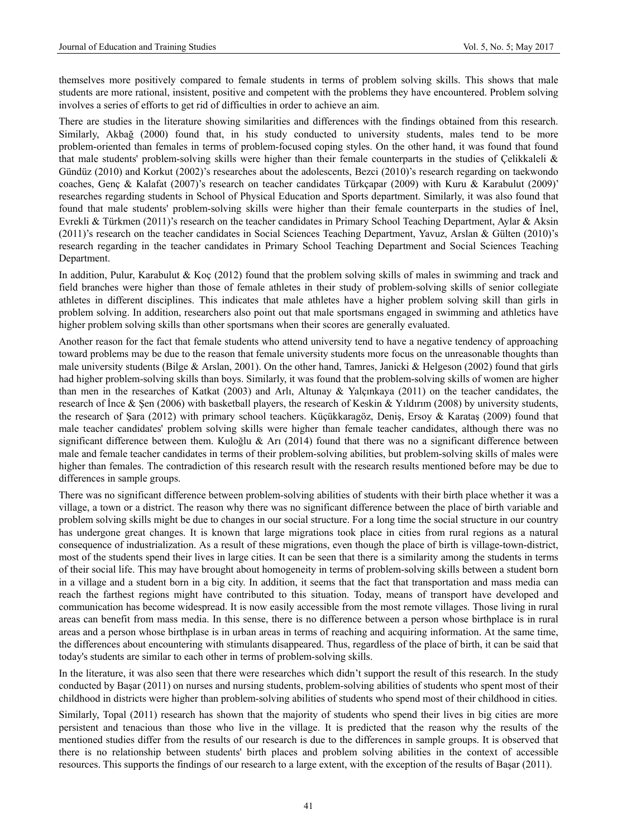themselves more positively compared to female students in terms of problem solving skills. This shows that male students are more rational, insistent, positive and competent with the problems they have encountered. Problem solving involves a series of efforts to get rid of difficulties in order to achieve an aim.

There are studies in the literature showing similarities and differences with the findings obtained from this research. Similarly, Akbağ (2000) found that, in his study conducted to university students, males tend to be more problem-oriented than females in terms of problem-focused coping styles. On the other hand, it was found that found that male students' problem-solving skills were higher than their female counterparts in the studies of Çelikkaleli & Gündüz (2010) and Korkut (2002)'s researches about the adolescents, Bezci (2010)'s research regarding on taekwondo coaches, Genç & Kalafat (2007)'s research on teacher candidates Türkçapar (2009) with Kuru & Karabulut (2009)' researches regarding students in School of Physical Education and Sports department. Similarly, it was also found that found that male students' problem-solving skills were higher than their female counterparts in the studies of İnel, Evrekli & Türkmen (2011)'s research on the teacher candidates in Primary School Teaching Department, Aylar & Aksin (2011)'s research on the teacher candidates in Social Sciences Teaching Department, Yavuz, Arslan & Gülten (2010)'s research regarding in the teacher candidates in Primary School Teaching Department and Social Sciences Teaching Department.

In addition, Pulur, Karabulut & Koç (2012) found that the problem solving skills of males in swimming and track and field branches were higher than those of female athletes in their study of problem-solving skills of senior collegiate athletes in different disciplines. This indicates that male athletes have a higher problem solving skill than girls in problem solving. In addition, researchers also point out that male sportsmans engaged in swimming and athletics have higher problem solving skills than other sportsmans when their scores are generally evaluated.

Another reason for the fact that female students who attend university tend to have a negative tendency of approaching toward problems may be due to the reason that female university students more focus on the unreasonable thoughts than male university students (Bilge & Arslan, 2001). On the other hand, Tamres, Janicki & Helgeson (2002) found that girls had higher problem-solving skills than boys. Similarly, it was found that the problem-solving skills of women are higher than men in the researches of Katkat (2003) and Arlı, Altunay & Yalçınkaya (2011) on the teacher candidates, the research of İnce & Şen (2006) with basketball players, the research of Keskin & Yıldırım (2008) by university students, the research of Şara (2012) with primary school teachers. Küçükkaragöz, Deniş, Ersoy & Karataş (2009) found that male teacher candidates' problem solving skills were higher than female teacher candidates, although there was no significant difference between them. Kuloğlu & Arı (2014) found that there was no a significant difference between male and female teacher candidates in terms of their problem-solving abilities, but problem-solving skills of males were higher than females. The contradiction of this research result with the research results mentioned before may be due to differences in sample groups.

There was no significant difference between problem-solving abilities of students with their birth place whether it was a village, a town or a district. The reason why there was no significant difference between the place of birth variable and problem solving skills might be due to changes in our social structure. For a long time the social structure in our country has undergone great changes. It is known that large migrations took place in cities from rural regions as a natural consequence of industrialization. As a result of these migrations, even though the place of birth is village-town-district, most of the students spend their lives in large cities. It can be seen that there is a similarity among the students in terms of their social life. This may have brought about homogeneity in terms of problem-solving skills between a student born in a village and a student born in a big city. In addition, it seems that the fact that transportation and mass media can reach the farthest regions might have contributed to this situation. Today, means of transport have developed and communication has become widespread. It is now easily accessible from the most remote villages. Those living in rural areas can benefit from mass media. In this sense, there is no difference between a person whose birthplace is in rural areas and a person whose birthplase is in urban areas in terms of reaching and acquiring information. At the same time, the differences about encountering with stimulants disappeared. Thus, regardless of the place of birth, it can be said that today's students are similar to each other in terms of problem-solving skills.

In the literature, it was also seen that there were researches which didn't support the result of this research. In the study conducted by Başar (2011) on nurses and nursing students, problem-solving abilities of students who spent most of their childhood in districts were higher than problem-solving abilities of students who spend most of their childhood in cities.

Similarly, Topal (2011) research has shown that the majority of students who spend their lives in big cities are more persistent and tenacious than those who live in the village. It is predicted that the reason why the results of the mentioned studies differ from the results of our research is due to the differences in sample groups. It is observed that there is no relationship between students' birth places and problem solving abilities in the context of accessible resources. This supports the findings of our research to a large extent, with the exception of the results of Başar (2011).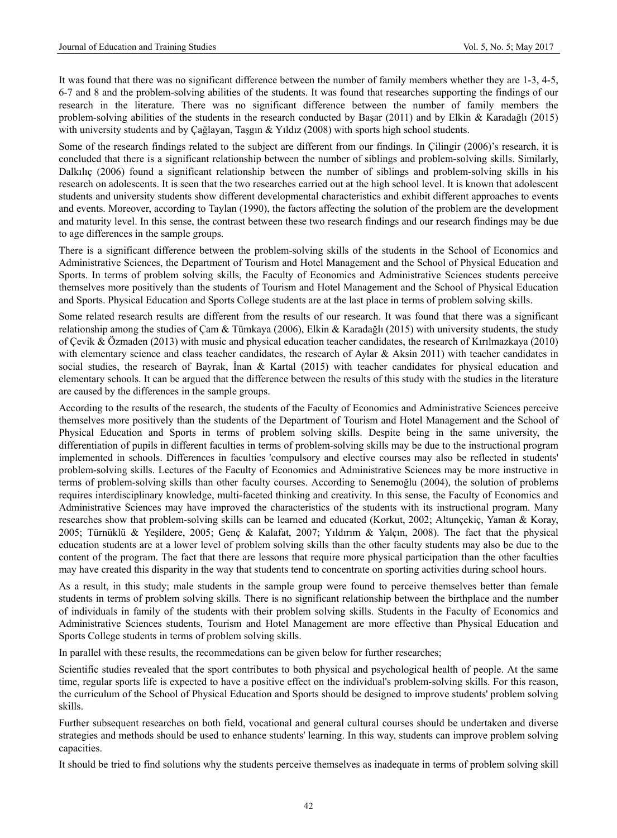It was found that there was no significant difference between the number of family members whether they are 1-3, 4-5, 6-7 and 8 and the problem-solving abilities of the students. It was found that researches supporting the findings of our research in the literature. There was no significant difference between the number of family members the problem-solving abilities of the students in the research conducted by Başar (2011) and by Elkin & Karadağlı (2015) with university students and by Çağlayan, Taşgın & Yıldız (2008) with sports high school students.

Some of the research findings related to the subject are different from our findings. In Çilingir (2006)'s research, it is concluded that there is a significant relationship between the number of siblings and problem-solving skills. Similarly, Dalkılıç (2006) found a significant relationship between the number of siblings and problem-solving skills in his research on adolescents. It is seen that the two researches carried out at the high school level. It is known that adolescent students and university students show different developmental characteristics and exhibit different approaches to events and events. Moreover, according to Taylan (1990), the factors affecting the solution of the problem are the development and maturity level. In this sense, the contrast between these two research findings and our research findings may be due to age differences in the sample groups.

There is a significant difference between the problem-solving skills of the students in the School of Economics and Administrative Sciences, the Department of Tourism and Hotel Management and the School of Physical Education and Sports. In terms of problem solving skills, the Faculty of Economics and Administrative Sciences students perceive themselves more positively than the students of Tourism and Hotel Management and the School of Physical Education and Sports. Physical Education and Sports College students are at the last place in terms of problem solving skills.

Some related research results are different from the results of our research. It was found that there was a significant relationship among the studies of Çam & Tümkaya (2006), Elkin & Karadağlı (2015) with university students, the study of Çevik & Özmaden (2013) with music and physical education teacher candidates, the research of Kırılmazkaya (2010) with elementary science and class teacher candidates, the research of Aylar & Aksin 2011) with teacher candidates in social studies, the research of Bayrak, İnan & Kartal (2015) with teacher candidates for physical education and elementary schools. It can be argued that the difference between the results of this study with the studies in the literature are caused by the differences in the sample groups.

According to the results of the research, the students of the Faculty of Economics and Administrative Sciences perceive themselves more positively than the students of the Department of Tourism and Hotel Management and the School of Physical Education and Sports in terms of problem solving skills. Despite being in the same university, the differentiation of pupils in different faculties in terms of problem-solving skills may be due to the instructional program implemented in schools. Differences in faculties 'compulsory and elective courses may also be reflected in students' problem-solving skills. Lectures of the Faculty of Economics and Administrative Sciences may be more instructive in terms of problem-solving skills than other faculty courses. According to Senemoğlu (2004), the solution of problems requires interdisciplinary knowledge, multi-faceted thinking and creativity. In this sense, the Faculty of Economics and Administrative Sciences may have improved the characteristics of the students with its instructional program. Many researches show that problem-solving skills can be learned and educated (Korkut, 2002; Altunçekiç, Yaman & Koray, 2005; Türnüklü & Yeşildere, 2005; Genç & Kalafat, 2007; Yıldırım & Yalçın, 2008). The fact that the physical education students are at a lower level of problem solving skills than the other faculty students may also be due to the content of the program. The fact that there are lessons that require more physical participation than the other faculties may have created this disparity in the way that students tend to concentrate on sporting activities during school hours.

As a result, in this study; male students in the sample group were found to perceive themselves better than female students in terms of problem solving skills. There is no significant relationship between the birthplace and the number of individuals in family of the students with their problem solving skills. Students in the Faculty of Economics and Administrative Sciences students, Tourism and Hotel Management are more effective than Physical Education and Sports College students in terms of problem solving skills.

In parallel with these results, the recommedations can be given below for further researches;

Scientific studies revealed that the sport contributes to both physical and psychological health of people. At the same time, regular sports life is expected to have a positive effect on the individual's problem-solving skills. For this reason, the curriculum of the School of Physical Education and Sports should be designed to improve students' problem solving skills.

Further subsequent researches on both field, vocational and general cultural courses should be undertaken and diverse strategies and methods should be used to enhance students' learning. In this way, students can improve problem solving capacities.

It should be tried to find solutions why the students perceive themselves as inadequate in terms of problem solving skill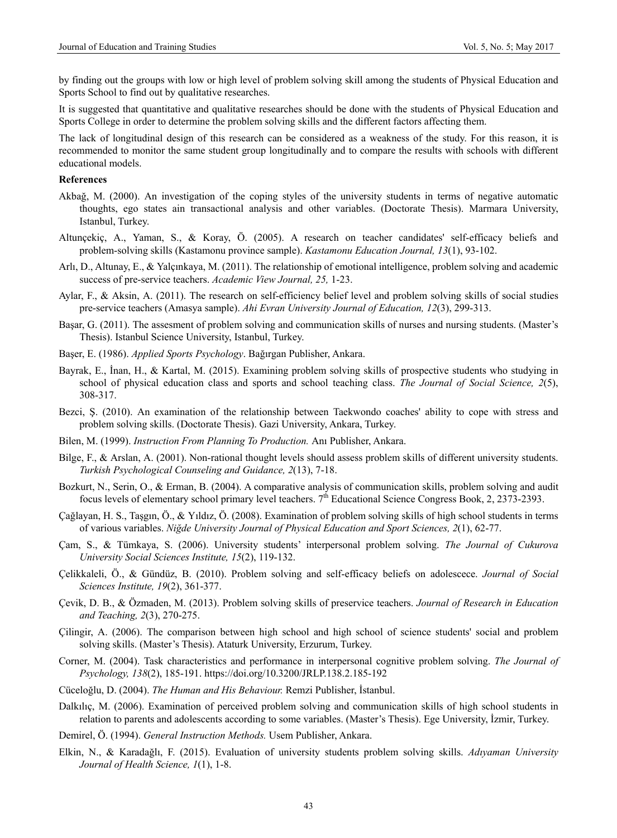by finding out the groups with low or high level of problem solving skill among the students of Physical Education and Sports School to find out by qualitative researches.

It is suggested that quantitative and qualitative researches should be done with the students of Physical Education and Sports College in order to determine the problem solving skills and the different factors affecting them.

The lack of longitudinal design of this research can be considered as a weakness of the study. For this reason, it is recommended to monitor the same student group longitudinally and to compare the results with schools with different educational models.

#### **References**

- Akbağ, M. (2000). An investigation of the coping styles of the university students in terms of negative automatic thoughts, ego states ain transactional analysis and other variables. (Doctorate Thesis). Marmara University, Istanbul, Turkey.
- Altunçekiç, A., Yaman, S., & Koray, Ö. (2005). A research on teacher candidates' self-efficacy beliefs and problem-solving skills (Kastamonu province sample). *Kastamonu Education Journal, 13*(1), 93-102.
- Arlı, D., Altunay, E., & Yalçınkaya, M. (2011). The relationship of emotional intelligence, problem solving and academic success of pre-service teachers. *Academic View Journal, 25,* 1-23.
- Aylar, F., & Aksin, A. (2011). The research on self-efficiency belief level and problem solving skills of social studies pre-service teachers (Amasya sample). *Ahi Evran University Journal of Education, 12*(3), 299-313.
- Başar, G. (2011). The assesment of problem solving and communication skills of nurses and nursing students. (Master's Thesis). Istanbul Science University, Istanbul, Turkey.
- Başer, E. (1986). *Applied Sports Psychology*. Bağırgan Publisher, Ankara.
- Bayrak, E., İnan, H., & Kartal, M. (2015). Examining problem solving skills of prospective students who studying in school of physical education class and sports and school teaching class. *The Journal of Social Science, 2*(5), 308-317.
- Bezci, Ş. (2010). An examination of the relationship between Taekwondo coaches' ability to cope with stress and problem solving skills. (Doctorate Thesis). Gazi University, Ankara, Turkey.
- Bilen, M. (1999). *Instruction From Planning To Production.* Anı Publisher, Ankara.
- Bilge, F., & Arslan, A. (2001). Non-rational thought levels should assess problem skills of different university students. *Turkish Psychological Counseling and Guidance, 2*(13), 7-18.
- Bozkurt, N., Serin, O., & Erman, B. (2004). A comparative analysis of communication skills, problem solving and audit focus levels of elementary school primary level teachers. 7<sup>th</sup> Educational Science Congress Book, 2, 2373-2393.
- Çağlayan, H. S., Taşgın, Ö., & Yıldız, Ö. (2008). Examination of problem solving skills of high school students in terms of various variables. *Niğde University Journal of Physical Education and Sport Sciences, 2*(1), 62-77.
- Çam, S., & Tümkaya, S. (2006). University students' interpersonal problem solving. *The Journal of Cukurova University Social Sciences Institute, 15*(2), 119-132.
- Çelikkaleli, Ö., & Gündüz, B. (2010). Problem solving and self-efficacy beliefs on adolescece. *Journal of Social Sciences Institute, 19*(2), 361-377.
- Çevik, D. B., & Özmaden, M. (2013). Problem solving skills of preservice teachers. *Journal of Research in Education and Teaching, 2*(3), 270-275.
- Çilingir, A. (2006). The comparison between high school and high school of science students' social and problem solving skills. (Master's Thesis). Ataturk University, Erzurum, Turkey.
- Corner, M. (2004). Task characteristics and performance in interpersonal cognitive problem solving. *The Journal of Psychology, 138*(2), 185-191. https://doi.org/10.3200/JRLP.138.2.185-192
- Cüceloğlu, D. (2004). *The Human and His Behaviour.* Remzi Publisher, İstanbul.
- Dalkılıç, M. (2006). Examination of perceived problem solving and communication skills of high school students in relation to parents and adolescents according to some variables. (Master's Thesis). Ege University, İzmir, Turkey.
- Demirel, Ö. (1994). *General Instruction Methods.* Usem Publisher, Ankara.
- Elkin, N., & Karadağlı, F. (2015). Evaluation of university students problem solving skills. *Adıyaman University Journal of Health Science, 1*(1), 1-8.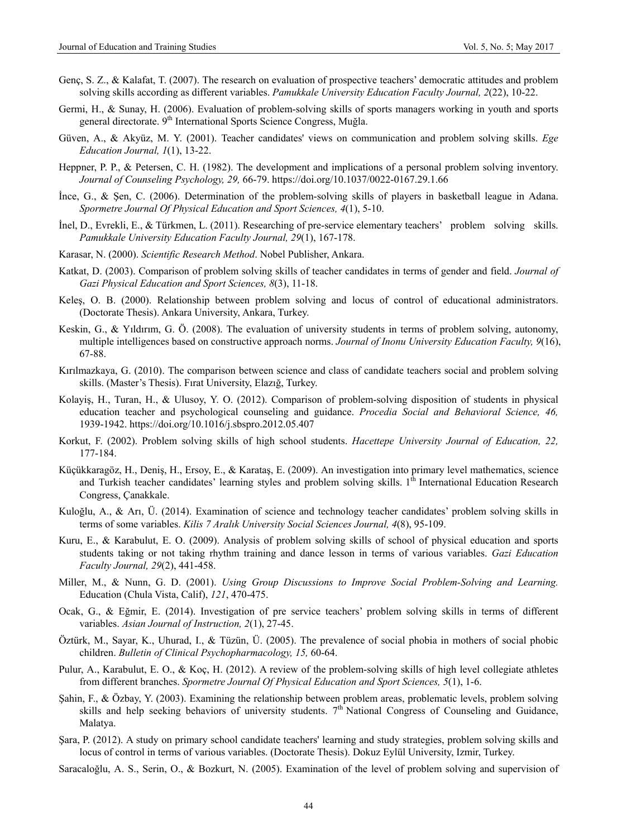- Genç, S. Z., & Kalafat, T. (2007). The research on evaluation of prospective teachers' democratic attitudes and problem solving skills according as different variables. *Pamukkale University Education Faculty Journal, 2*(22), 10-22.
- Germi, H., & Sunay, H. (2006). Evaluation of problem-solving skills of sports managers working in youth and sports general directorate. 9<sup>th</sup> International Sports Science Congress, Muğla.
- Güven, A., & Akyüz, M. Y. (2001). Teacher candidates' views on communication and problem solving skills. *Ege Education Journal, 1*(1), 13-22.
- Heppner, P. P., & Petersen, C. H. (1982). The development and implications of a personal problem solving inventory. *Journal of Counseling Psychology, 29,* 66-79. https://doi.org/10.1037/0022-0167.29.1.66
- İnce, G., & Şen, C. (2006). Determination of the problem-solving skills of players in basketball league in Adana. *Spormetre Journal Of Physical Education and Sport Sciences, 4*(1), 5-10.
- İnel, D., Evrekli, E., & Türkmen, L. (2011). Researching of pre-service elementary teachers' problem solving skills. *Pamukkale University Education Faculty Journal, 29*(1), 167-178.
- Karasar, N. (2000). *Scientific Research Method*. Nobel Publisher, Ankara.
- Katkat, D. (2003). Comparison of problem solving skills of teacher candidates in terms of gender and field. *Journal of Gazi Physical Education and Sport Sciences, 8*(3), 11-18.
- Keleş, O. B. (2000). Relationship between problem solving and locus of control of educational administrators. (Doctorate Thesis). Ankara University, Ankara, Turkey.
- Keskin, G., & Yıldırım, G. Ö. (2008). The evaluation of university students in terms of problem solving, autonomy, multiple intelligences based on constructive approach norms. *Journal of Inonu University Education Faculty, 9*(16), 67-88.
- Kırılmazkaya, G. (2010). The comparison between science and class of candidate teachers social and problem solving skills. (Master's Thesis). Fırat University, Elazığ, Turkey.
- Kolayiş, H., Turan, H., & Ulusoy, Y. O. (2012). Comparison of problem-solving disposition of students in physical education teacher and psychological counseling and guidance. *Procedia Social and Behavioral Science, 46,* 1939-1942. https://doi.org/10.1016/j.sbspro.2012.05.407
- Korkut, F. (2002). Problem solving skills of high school students. *Hacettepe University Journal of Education, 22,* 177-184.
- Küçükkaragöz, H., Deniş, H., Ersoy, E., & Karataş, E. (2009). An investigation into primary level mathematics, science and Turkish teacher candidates' learning styles and problem solving skills. 1<sup>th</sup> International Education Research Congress, Çanakkale.
- Kuloğlu, A., & Arı, Ü. (2014). Examination of science and technology teacher candidates' problem solving skills in terms of some variables. *Kilis 7 Aralık University Social Sciences Journal, 4*(8), 95-109.
- Kuru, E., & Karabulut, E. O. (2009). Analysis of problem solving skills of school of physical education and sports students taking or not taking rhythm training and dance lesson in terms of various variables. *Gazi Education Faculty Journal, 29*(2), 441-458.
- Miller, M., & Nunn, G. D. (2001). *Using Group Discussions to Improve Social Problem-Solving and Learning.* Education (Chula Vista, Calif), *121*, 470-475.
- Ocak, G., & Eğmir, E. (2014). Investigation of pre service teachers' problem solving skills in terms of different variables. *Asian Journal of Instruction, 2*(1), 27-45.
- Öztürk, M., Sayar, K., Uhurad, I., & Tüzün, Ü. (2005). The prevalence of social phobia in mothers of social phobic children. *Bulletin of Clinical Psychopharmacology, 15,* 60-64.
- Pulur, A., Karabulut, E. O., & Koç, H. (2012). A review of the problem-solving skills of high level collegiate athletes from different branches. *Spormetre Journal Of Physical Education and Sport Sciences, 5*(1), 1-6.
- Şahin, F., & Özbay, Y. (2003). Examining the relationship between problem areas, problematic levels, problem solving skills and help seeking behaviors of university students.  $7<sup>th</sup>$  National Congress of Counseling and Guidance, Malatya.
- Şara, P. (2012). A study on primary school candidate teachers' learning and study strategies, problem solving skills and locus of control in terms of various variables. (Doctorate Thesis). Dokuz Eylül University, Izmir, Turkey.
- Saracaloğlu, A. S., Serin, O., & Bozkurt, N. (2005). Examination of the level of problem solving and supervision of